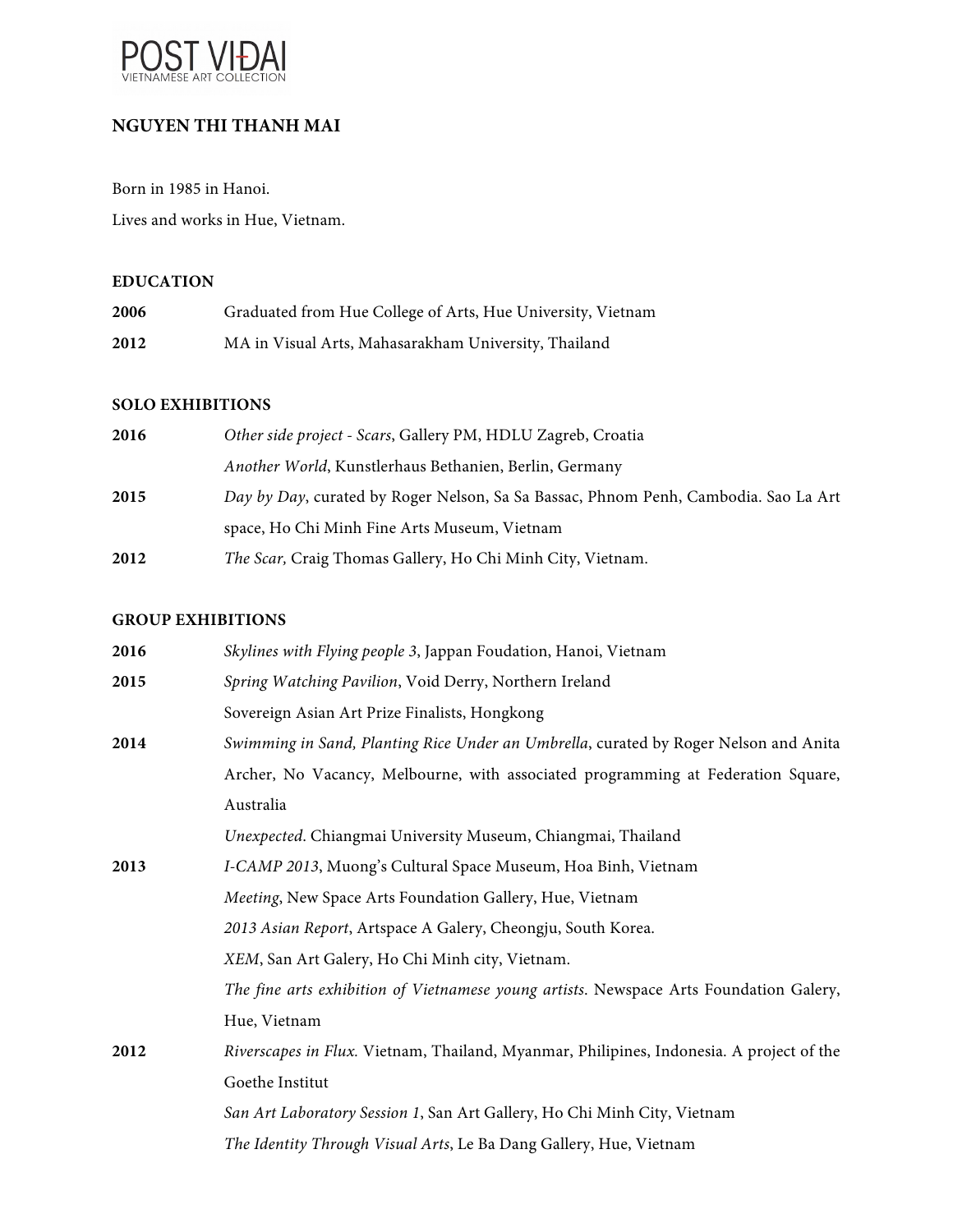

# **NGUYEN THI THANH MAI**

Born in 1985 in Hanoi. Lives and works in Hue, Vietnam.

#### **EDUCATION**

| 2006 | Graduated from Hue College of Arts, Hue University, Vietnam |
|------|-------------------------------------------------------------|
| 2012 | MA in Visual Arts, Mahasarakham University, Thailand        |

#### **SOLO EXHIBITIONS**

| 2016 | Other side project - Scars, Gallery PM, HDLU Zagreb, Croatia                        |
|------|-------------------------------------------------------------------------------------|
|      | Another World, Kunstlerhaus Bethanien, Berlin, Germany                              |
| 2015 | Day by Day, curated by Roger Nelson, Sa Sa Bassac, Phnom Penh, Cambodia. Sao La Art |
|      | space, Ho Chi Minh Fine Arts Museum, Vietnam                                        |
| 2012 | The Scar, Craig Thomas Gallery, Ho Chi Minh City, Vietnam.                          |

## **GROUP EXHIBITIONS**

| 2016 | Skylines with Flying people 3, Jappan Foudation, Hanoi, Vietnam                          |
|------|------------------------------------------------------------------------------------------|
| 2015 | Spring Watching Pavilion, Void Derry, Northern Ireland                                   |
|      | Sovereign Asian Art Prize Finalists, Hongkong                                            |
| 2014 | Swimming in Sand, Planting Rice Under an Umbrella, curated by Roger Nelson and Anita     |
|      | Archer, No Vacancy, Melbourne, with associated programming at Federation Square,         |
|      | Australia                                                                                |
|      | Unexpected. Chiangmai University Museum, Chiangmai, Thailand                             |
| 2013 | I-CAMP 2013, Muong's Cultural Space Museum, Hoa Binh, Vietnam                            |
|      | Meeting, New Space Arts Foundation Gallery, Hue, Vietnam                                 |
|      | 2013 Asian Report, Artspace A Galery, Cheongju, South Korea.                             |
|      | XEM, San Art Galery, Ho Chi Minh city, Vietnam.                                          |
|      | The fine arts exhibition of Vietnamese young artists. Newspace Arts Foundation Galery,   |
|      | Hue, Vietnam                                                                             |
| 2012 | Riverscapes in Flux. Vietnam, Thailand, Myanmar, Philipines, Indonesia. A project of the |
|      | Goethe Institut                                                                          |
|      | San Art Laboratory Session 1, San Art Gallery, Ho Chi Minh City, Vietnam                 |
|      | The Identity Through Visual Arts, Le Ba Dang Gallery, Hue, Vietnam                       |